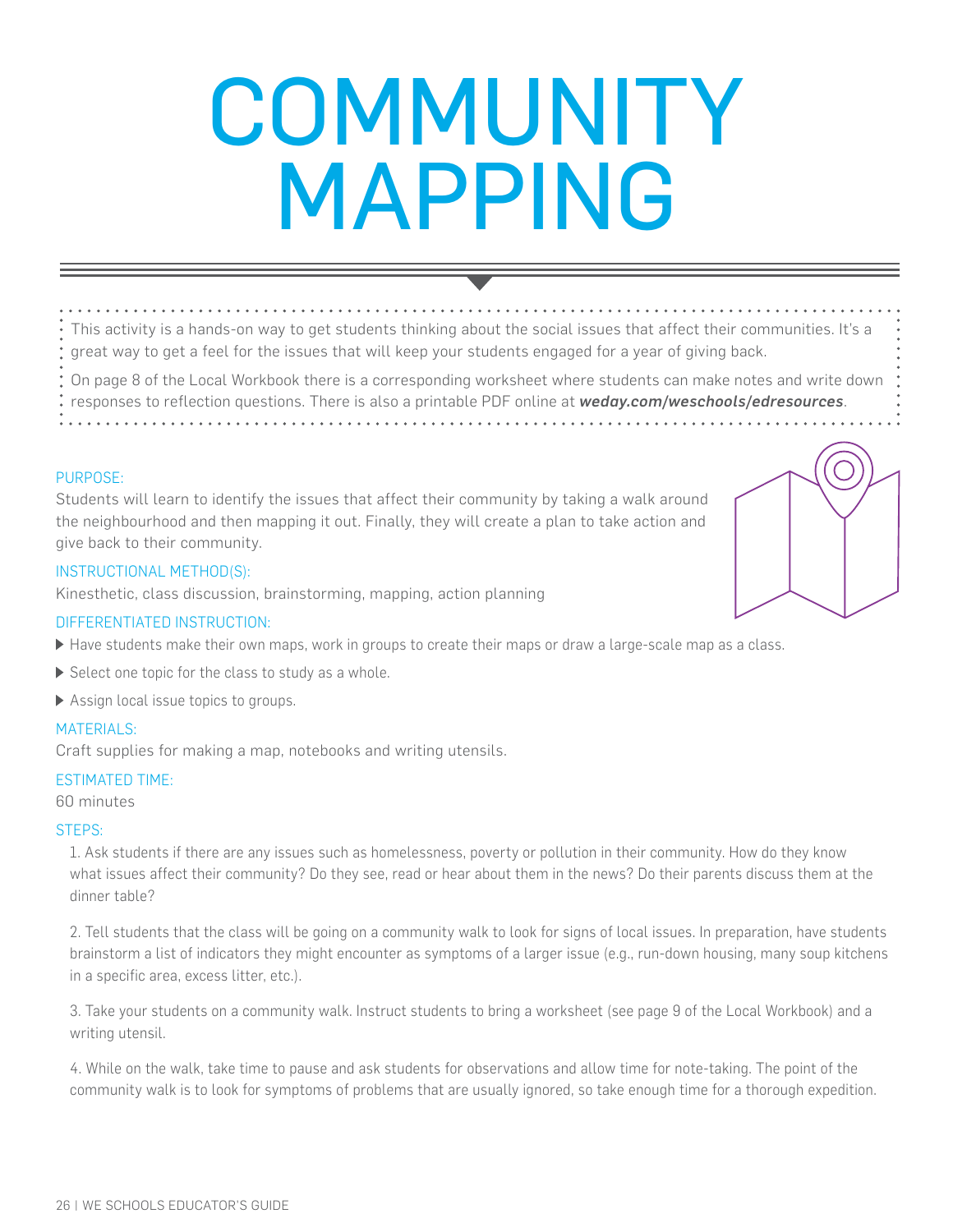# **COMMUNITY** MAPPING

This activity is a hands-on way to get students thinking about the social issues that affect their communities. It's a great way to get a feel for the issues that will keep your students engaged for a year of giving back.

On page 8 of the Local Workbook there is a corresponding worksheet where students can make notes and write down responses to reflection questions. There is also a printable PDF online at *weday.com/weschools/edresources*.

#### PURPOSE:

Students will learn to identify the issues that affect their community by taking a walk around the neighbourhood and then mapping it out. Finally, they will create a plan to take action and give back to their community.

#### INSTRUCTIONAL METHOD(S):

Kinesthetic, class discussion, brainstorming, mapping, action planning

#### DIFFERENTIATED INSTRUCTION:

- Have students make their own maps, work in groups to create their maps or draw a large-scale map as a class.
- $\triangleright$  Select one topic for the class to study as a whole.
- Assign local issue topics to groups.

#### MATERIALS:

Craft supplies for making a map, notebooks and writing utensils.

#### ESTIMATED TIME:

60 minutes

#### STEPS:

1. Ask students if there are any issues such as homelessness, poverty or pollution in their community. How do they know what issues affect their community? Do they see, read or hear about them in the news? Do their parents discuss them at the dinner table?

2. Tell students that the class will be going on a community walk to look for signs of local issues. In preparation, have students brainstorm a list of indicators they might encounter as symptoms of a larger issue (e.g., run-down housing, many soup kitchens in a specific area, excess litter, etc.).

3. Take your students on a community walk. Instruct students to bring a worksheet (see page 9 of the Local Workbook) and a writing utensil.

4. While on the walk, take time to pause and ask students for observations and allow time for note-taking. The point of the community walk is to look for symptoms of problems that are usually ignored, so take enough time for a thorough expedition.

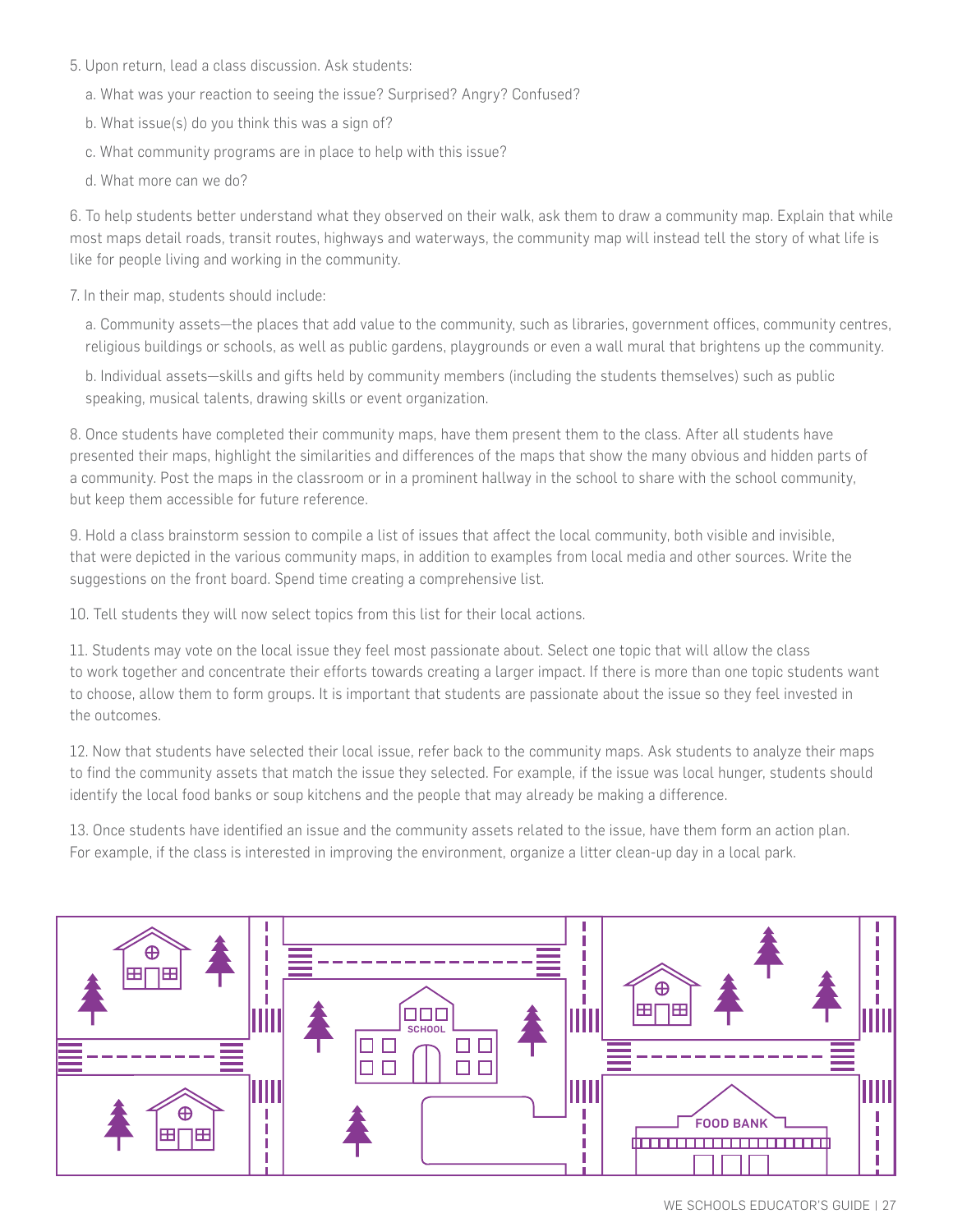### 5. Upon return, lead a class discussion. Ask students:

- a. What was your reaction to seeing the issue? Surprised? Angry? Confused?
- b. What issue(s) do you think this was a sign of?
- c. What community programs are in place to help with this issue?
- d. What more can we do?

6. To help students better understand what they observed on their walk, ask them to draw a community map. Explain that while most maps detail roads, transit routes, highways and waterways, the community map will instead tell the story of what life is like for people living and working in the community.

## 7. In their map, students should include:

a. Community assets—the places that add value to the community, such as libraries, government offices, community centres, religious buildings or schools, as well as public gardens, playgrounds or even a wall mural that brightens up the community.

b. Individual assets—skills and gifts held by community members (including the students themselves) such as public speaking, musical talents, drawing skills or event organization.

8. Once students have completed their community maps, have them present them to the class. After all students have presented their maps, highlight the similarities and differences of the maps that show the many obvious and hidden parts of a community. Post the maps in the classroom or in a prominent hallway in the school to share with the school community, but keep them accessible for future reference.

9. Hold a class brainstorm session to compile a list of issues that affect the local community, both visible and invisible, that were depicted in the various community maps, in addition to examples from local media and other sources. Write the suggestions on the front board. Spend time creating a comprehensive list.

10. Tell students they will now select topics from this list for their local actions.

11. Students may vote on the local issue they feel most passionate about. Select one topic that will allow the class to work together and concentrate their efforts towards creating a larger impact. If there is more than one topic students want to choose, allow them to form groups. It is important that students are passionate about the issue so they feel invested in the outcomes.

12. Now that students have selected their local issue, refer back to the community maps. Ask students to analyze their maps to find the community assets that match the issue they selected. For example, if the issue was local hunger, students should identify the local food banks or soup kitchens and the people that may already be making a difference.

13. Once students have identified an issue and the community assets related to the issue, have them form an action plan. For example, if the class is interested in improving the environment, organize a litter clean-up day in a local park.

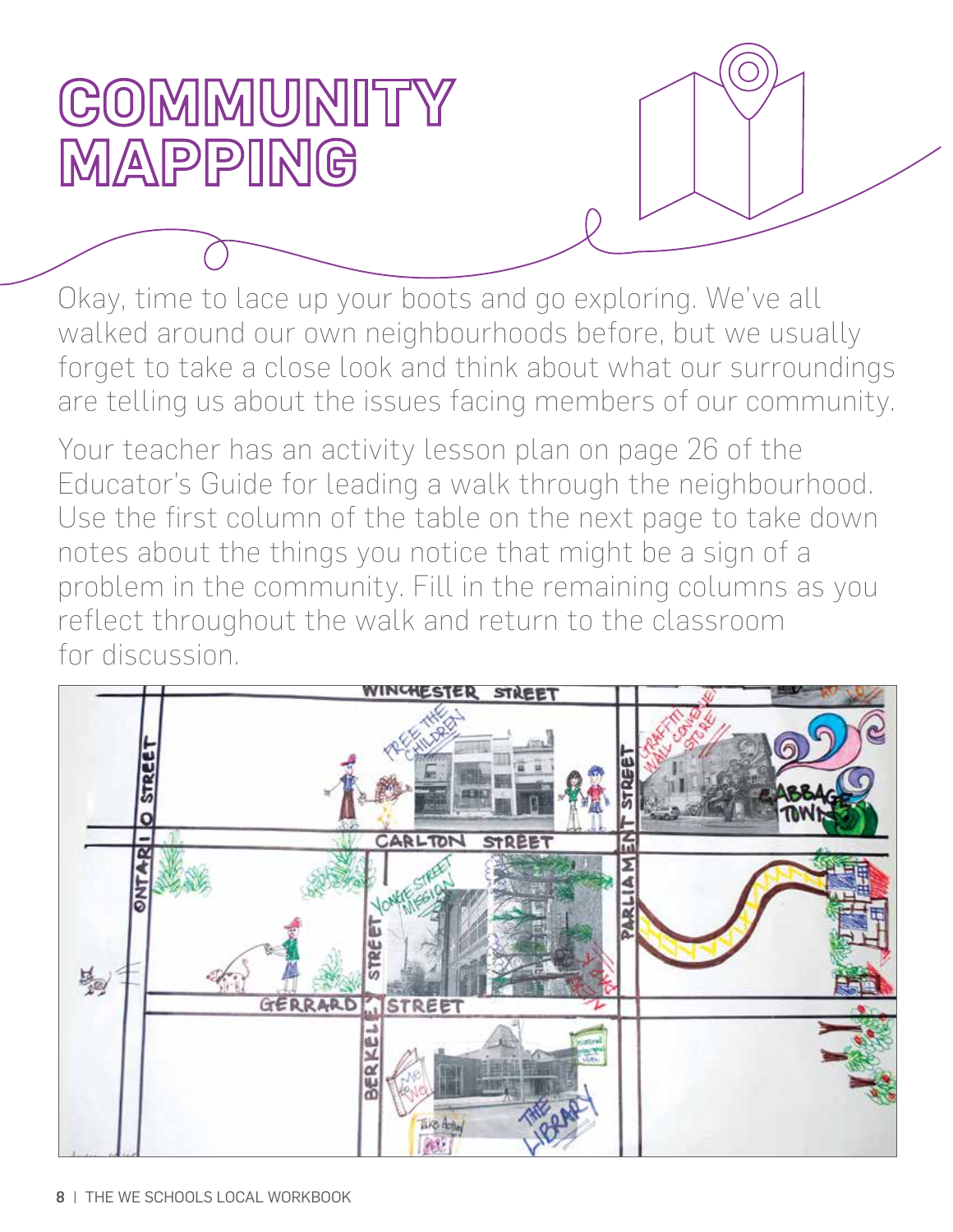# COMMUNITY MAPPING

Okay, time to lace up your boots and go exploring. We've all walked around our own neighbourhoods before, but we usually forget to take a close look and think about what our surroundings are telling us about the issues facing members of our community.

Your teacher has an activity lesson plan on page 26 of the Educator's Guide for leading a walk through the neighbourhood. Use the first column of the table on the next page to take down notes about the things you notice that might be a sign of a problem in the community. Fill in the remaining columns as you reflect throughout the walk and return to the classroom for discussion.